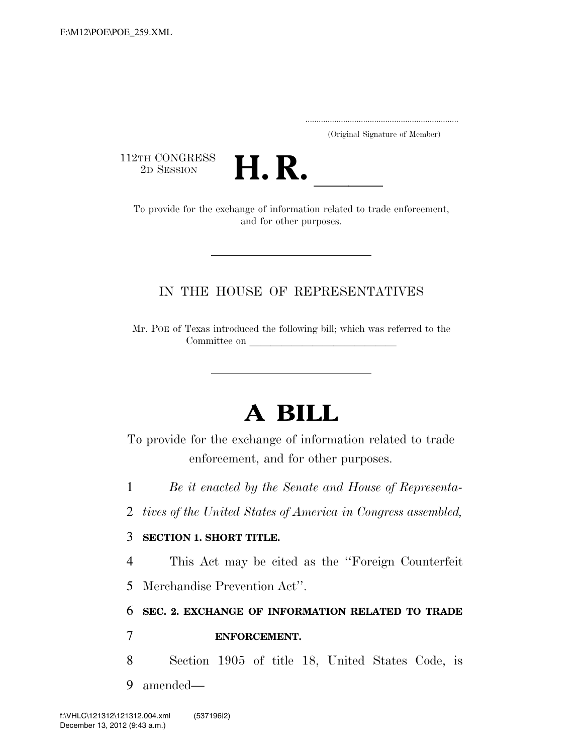..................................................................... (Original Signature of Member)

112TH CONGRESS<br>2D SESSION



2D SESSION **H. R.** ll To provide for the exchange of information related to trade enforcement, and for other purposes.

## IN THE HOUSE OF REPRESENTATIVES

Mr. POE of Texas introduced the following bill; which was referred to the Committee on

# **A BILL**

To provide for the exchange of information related to trade enforcement, and for other purposes.

1 *Be it enacted by the Senate and House of Representa-*

2 *tives of the United States of America in Congress assembled,* 

#### 3 **SECTION 1. SHORT TITLE.**

4 This Act may be cited as the ''Foreign Counterfeit

5 Merchandise Prevention Act''.

## 6 **SEC. 2. EXCHANGE OF INFORMATION RELATED TO TRADE**

### 7 **ENFORCEMENT.**

- 8 Section 1905 of title 18, United States Code, is
- 9 amended—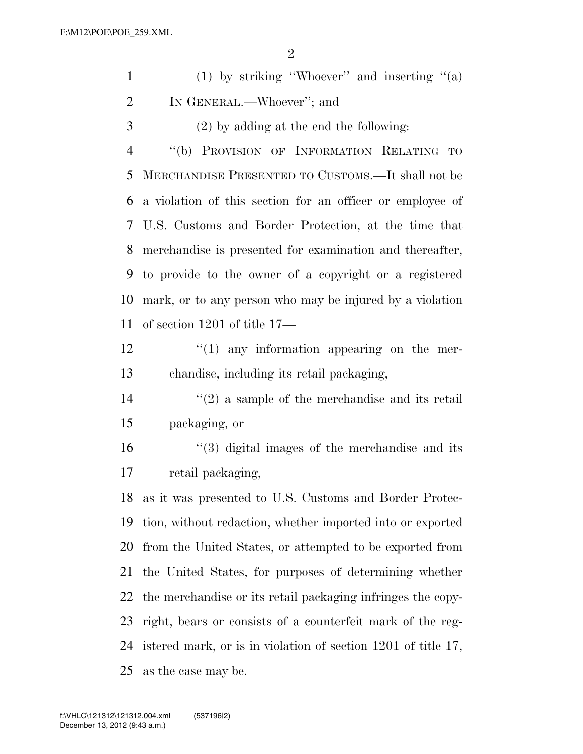|                | $\overline{2}$                                            |
|----------------|-----------------------------------------------------------|
| $\mathbf{1}$   | (1) by striking "Whoever" and inserting " $(a)$           |
| $\overline{2}$ | IN GENERAL.—Whoever"; and                                 |
| 3              | $(2)$ by adding at the end the following:                 |
| $\overline{4}$ | "(b) PROVISION OF INFORMATION RELATING TO                 |
| 5              | MERCHANDISE PRESENTED TO CUSTOMS.—It shall not be         |
| 6              | a violation of this section for an officer or employee of |
| 7              | U.S. Customs and Border Protection, at the time that      |
| 8              | merchandise is presented for examination and thereafter,  |
| 9              | to provide to the owner of a copyright or a registered    |
| 10             | mark, or to any person who may be injured by a violation  |
| 11             | of section 1201 of title $17-$                            |
| 12             | $\lq(1)$ any information appearing on the mer-            |
| 13             | chandise, including its retail packaging,                 |
| 14             | $\lq(2)$ a sample of the merchandise and its retail       |
| 15             | packaging, or                                             |

 ''(3) digital images of the merchandise and its retail packaging,

 as it was presented to U.S. Customs and Border Protec- tion, without redaction, whether imported into or exported from the United States, or attempted to be exported from the United States, for purposes of determining whether the merchandise or its retail packaging infringes the copy- right, bears or consists of a counterfeit mark of the reg- istered mark, or is in violation of section 1201 of title 17, as the case may be.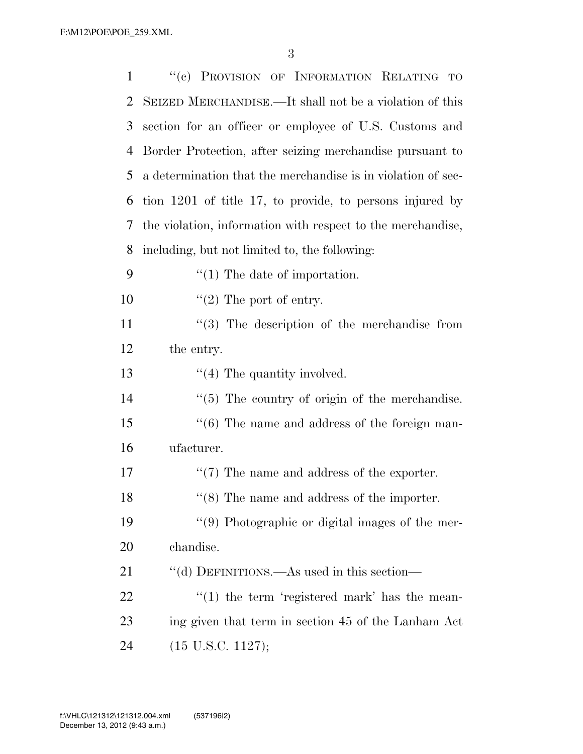| 1  | "(c) PROVISION OF INFORMATION RELATING TO                    |
|----|--------------------------------------------------------------|
| 2  | SEIZED MERCHANDISE.—It shall not be a violation of this      |
| 3  | section for an officer or employee of U.S. Customs and       |
| 4  | Border Protection, after seizing merchandise pursuant to     |
| 5  | a determination that the merchandise is in violation of sec- |
| 6  | tion 1201 of title 17, to provide, to persons injured by     |
| 7  | the violation, information with respect to the merchandise,  |
| 8  | including, but not limited to, the following:                |
| 9  | $\lq(1)$ The date of importation.                            |
| 10 | $\lq(2)$ The port of entry.                                  |
| 11 | $(3)$ The description of the merchandise from                |
| 12 | the entry.                                                   |
| 13 | $\lq(4)$ The quantity involved.                              |
| 14 | $\lq(5)$ The country of origin of the merchandise.           |
| 15 | $\cdot\cdot$ (6) The name and address of the foreign man-    |
| 16 | ufacturer.                                                   |
| 17 | $\lq(7)$ The name and address of the exporter.               |
| 18 | $\cdot\cdot$ (8) The name and address of the importer.       |
| 19 | "(9) Photographic or digital images of the mer-              |
| 20 | chandise.                                                    |
| 21 | "(d) DEFINITIONS.—As used in this section—                   |
| 22 | $f'(1)$ the term 'registered mark' has the mean-             |
| 23 | ing given that term in section 45 of the Lanham Act          |
| 24 | $(15 \text{ U.S.C. } 1127);$                                 |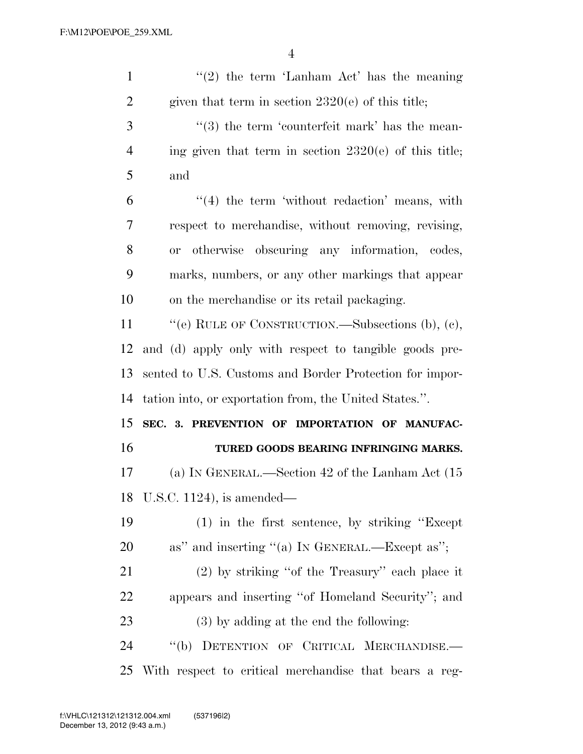| $\mathbf{1}$ | $\lq(2)$ the term 'Lanham Act' has the meaning                 |
|--------------|----------------------------------------------------------------|
| 2            | given that term in section $2320(e)$ of this title;            |
| 3            | $\cdot\cdot\cdot(3)$ the term 'counterfeit mark' has the mean- |
| 4            | ing given that term in section $2320(e)$ of this title;        |
| 5            | and                                                            |
| 6            | $\lq(4)$ the term 'without redaction' means, with              |
| 7            | respect to merchandise, without removing, revising,            |
| 8            | otherwise obscuring any information, codes,<br><b>or</b>       |
| 9            | marks, numbers, or any other markings that appear              |
| 10           | on the merchandise or its retail packaging.                    |
| 11           | "(e) RULE OF CONSTRUCTION.—Subsections (b), (c),               |
| 12           | and (d) apply only with respect to tangible goods pre-         |
|              |                                                                |
| 13           | sented to U.S. Customs and Border Protection for impor-        |
| 14           | tation into, or exportation from, the United States.".         |
| 15           | SEC. 3. PREVENTION OF IMPORTATION OF MANUFAC-                  |
| 16           | TURED GOODS BEARING INFRINGING MARKS.                          |
| 17           | (a) IN GENERAL.—Section 42 of the Lanham Act (15               |
|              | 18 U.S.C. 1124), is amended—                                   |
| 19           | $(1)$ in the first sentence, by striking "Except"              |
| 20           | as" and inserting "(a) IN GENERAL.—Except as";                 |
| 21           | $(2)$ by striking "of the Treasury" each place it              |
| <u>22</u>    | appears and inserting "of Homeland Security"; and              |
| 23           | $(3)$ by adding at the end the following:                      |
| 24           | "(b) DETENTION OF CRITICAL MERCHANDISE.-                       |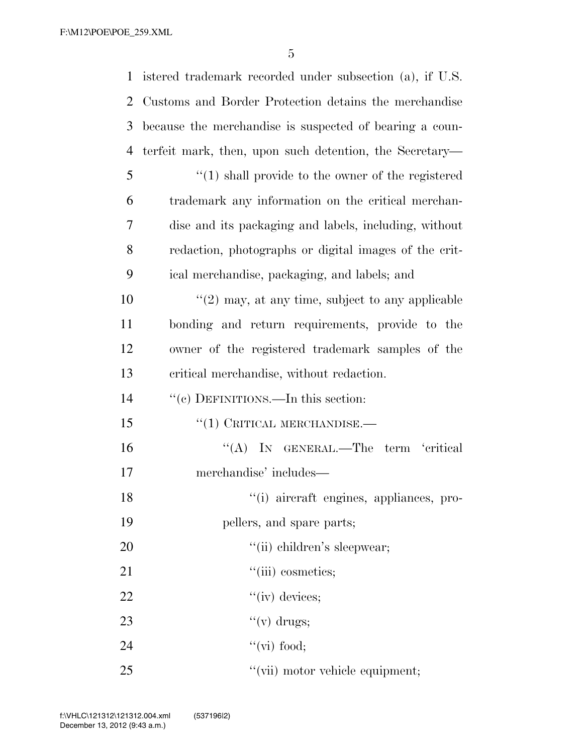| $\mathbf{1}$ | istered trademark recorded under subsection (a), if U.S. |
|--------------|----------------------------------------------------------|
| 2            | Customs and Border Protection detains the merchandise    |
| 3            | because the merchandise is suspected of bearing a coun-  |
| 4            | terfeit mark, then, upon such detention, the Secretary—  |
| 5            | $\lq(1)$ shall provide to the owner of the registered    |
| 6            | trademark any information on the critical merchan-       |
| 7            | dise and its packaging and labels, including, without    |
| 8            | redaction, photographs or digital images of the crit-    |
| 9            | ical merchandise, packaging, and labels; and             |
| 10           | $\lq(2)$ may, at any time, subject to any applicable     |
| 11           | bonding and return requirements, provide to the          |
| 12           | owner of the registered trademark samples of the         |
| 13           | critical merchandise, without redaction.                 |
| 14           | "(c) DEFINITIONS.—In this section:                       |
| 15           | $``(1)$ CRITICAL MERCHANDISE.—                           |
| 16           | "(A) IN GENERAL.—The term 'critical                      |
| 17           | merchandise' includes—                                   |
| 18           | "(i) aircraft engines, appliances, pro-                  |
| 19           | pellers, and spare parts;                                |
| 20           | "(ii) children's sleepwear;                              |
| 21           | "(iii) cosmetics;                                        |
| 22           | $``(iv)$ devices;                                        |
| 23           | " $(v)$ drugs;                                           |
| 24           | " $(vi)$ food;                                           |
| 25           | "(vii) motor vehicle equipment;                          |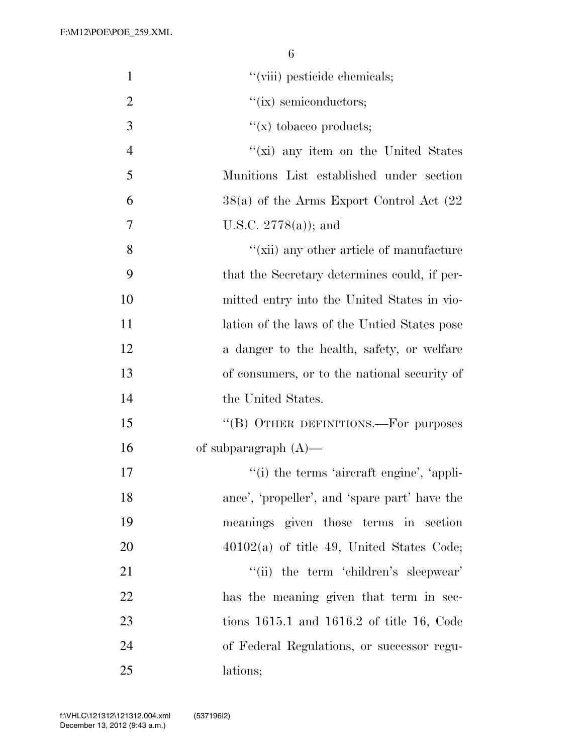| $\mathbf{1}$   | "(viii) pesticide chemicals;                  |
|----------------|-----------------------------------------------|
| $\overline{2}$ | $``(ix)$ semiconductors;                      |
| 3              | $f(x)$ tobacco products;                      |
| $\overline{4}$ | "(xi) any item on the United States           |
| 5              | Munitions List established under section      |
| 6              | $38(a)$ of the Arms Export Control Act $(22)$ |
| 7              | U.S.C. $2778(a)$ ; and                        |
| 8              | "(xii) any other article of manufacture       |
| 9              | that the Secretary determines could, if per-  |
| 10             | mitted entry into the United States in vio-   |
| 11             | lation of the laws of the Untied States pose  |
| 12             | a danger to the health, safety, or welfare    |
| 13             | of consumers, or to the national security of  |
| 14             | the United States.                            |
| 15             | "(B) OTHER DEFINITIONS.—For purposes          |
| 16             | of subparagraph $(A)$ —                       |
| 17             | "(i) the terms 'aircraft engine', 'appli-     |
| 18             | ance', 'propeller', and 'spare part' have the |
| 19             | meanings given those terms in section         |
| 20             | $40102(a)$ of title 49, United States Code;   |
| 21             | "(ii) the term 'children's sleepwear'         |
| 22             | has the meaning given that term in sec-       |
| 23             | tions $1615.1$ and $1616.2$ of title 16, Code |
| 24             | of Federal Regulations, or successor regu-    |
| 25             | lations;                                      |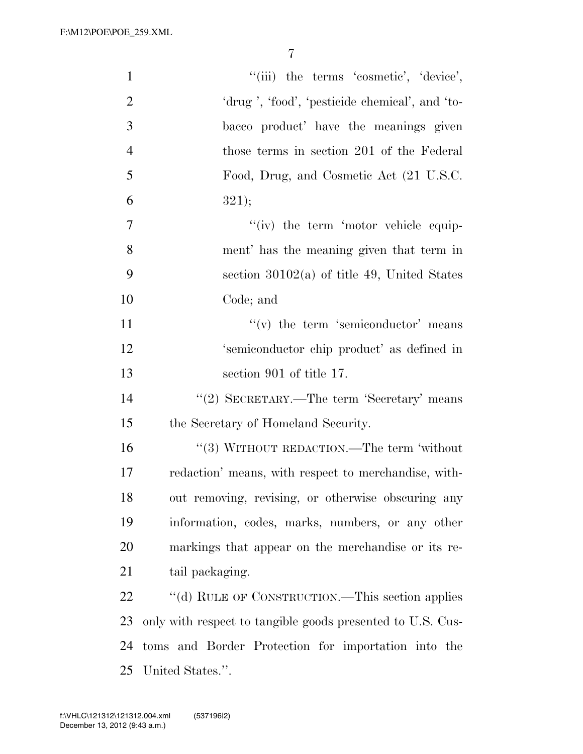F:\M12\POE\POE\_259.XML

| $\mathbf{1}$   | "(iii) the terms 'cosmetic', 'device',                     |
|----------------|------------------------------------------------------------|
| $\overline{2}$ | 'drug', 'food', 'pesticide chemical', and 'to-             |
| 3              | bacco product' have the meanings given                     |
| $\overline{4}$ | those terms in section 201 of the Federal                  |
| 5              | Food, Drug, and Cosmetic Act (21 U.S.C.                    |
| 6              | 321);                                                      |
| $\tau$         | "(iv) the term 'motor vehicle equip-                       |
| 8              | ment' has the meaning given that term in                   |
| 9              | section $30102(a)$ of title 49, United States              |
| 10             | Code; and                                                  |
| 11             | $f'(v)$ the term 'semiconductor' means                     |
| 12             | 'semiconductor chip product' as defined in                 |
| 13             | section 901 of title 17.                                   |
| 14             | "(2) SECRETARY.—The term 'Secretary' means                 |
| 15             | the Secretary of Homeland Security.                        |
| 16             | "(3) WITHOUT REDACTION.—The term 'without                  |
| 17             | redaction' means, with respect to merchandise, with-       |
| 18             | out removing, revising, or otherwise obscuring any         |
| 19             | information, codes, marks, numbers, or any other           |
| 20             | markings that appear on the merchandise or its re-         |
| 21             | tail packaging.                                            |
| 22             | "(d) RULE OF CONSTRUCTION.—This section applies            |
| 23             | only with respect to tangible goods presented to U.S. Cus- |
| 24             | toms and Border Protection for importation into the        |
|                | 25 United States.".                                        |